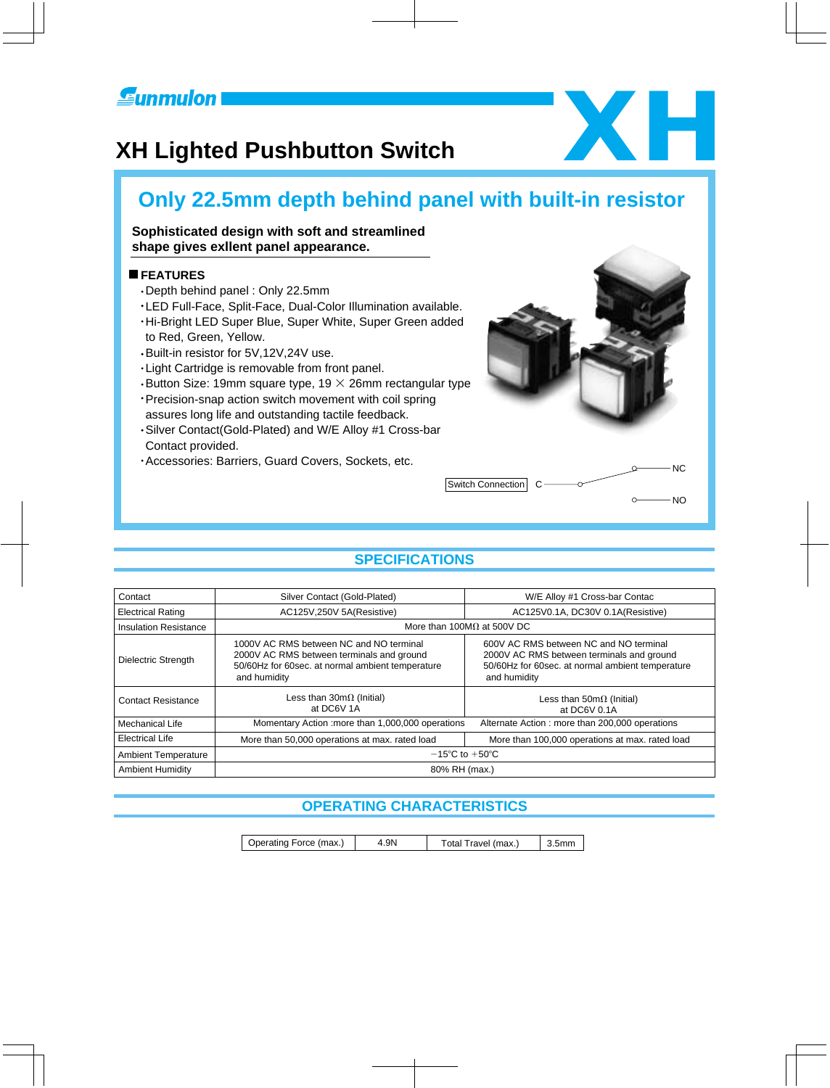

# **XH Lighted Pushbutton Switch XH Lighted Pushbutton Switch**



### **Sophisticated design with soft and streamlined shape gives exllent panel appearance.**

#### **FEATURES**

- Depth behind panel : Only 22.5mm
- LED Full-Face, Split-Face, Dual-Color Illumination available.
- Hi-Bright LED Super Blue, Super White, Super Green added to Red, Green, Yellow.
- Built-in resistor for 5V,12V,24V use.
- Light Cartridge is removable from front panel.
- **Button Size: 19mm square type, 19**  $\times$  **26mm rectangular type**
- Precision-snap action switch movement with coil spring assures long life and outstanding tactile feedback.
- Silver Contact(Gold-Plated) and W/E Alloy #1 Cross-bar Contact provided.
- Accessories: Barriers, Guard Covers, Sockets, etc.



# **SPECIFICATIONS**

| Contact                      | Silver Contact (Gold-Plated)                                                                                                                             | W/E Alloy #1 Cross-bar Contac                                                                                                                           |  |  |  |  |  |  |  |  |
|------------------------------|----------------------------------------------------------------------------------------------------------------------------------------------------------|---------------------------------------------------------------------------------------------------------------------------------------------------------|--|--|--|--|--|--|--|--|
| <b>Electrical Rating</b>     | AC125V,250V 5A(Resistive)                                                                                                                                | AC125V0.1A, DC30V 0.1A(Resistive)                                                                                                                       |  |  |  |  |  |  |  |  |
| <b>Insulation Resistance</b> |                                                                                                                                                          | More than 100M $\Omega$ at 500V DC                                                                                                                      |  |  |  |  |  |  |  |  |
| Dielectric Strength          | 1000V AC RMS between NC and NO terminal<br>2000V AC RMS between terminals and ground<br>50/60Hz for 60sec. at normal ambient temperature<br>and humidity | 600V AC RMS between NC and NO terminal<br>2000V AC RMS between terminals and ground<br>50/60Hz for 60sec. at normal ambient temperature<br>and humidity |  |  |  |  |  |  |  |  |
| <b>Contact Resistance</b>    | Less than $30m\Omega$ (Initial)<br>at DC6V 1A                                                                                                            | Less than $50m\Omega$ (Initial)<br>at DC6V 0.1A                                                                                                         |  |  |  |  |  |  |  |  |
| Mechanical Life              | Momentary Action : more than 1,000,000 operations                                                                                                        | Alternate Action: more than 200,000 operations                                                                                                          |  |  |  |  |  |  |  |  |
| <b>Electrical Life</b>       | More than 100,000 operations at max. rated load<br>More than 50,000 operations at max. rated load                                                        |                                                                                                                                                         |  |  |  |  |  |  |  |  |
| <b>Ambient Temperature</b>   | $-15^{\circ}$ C to $+50^{\circ}$ C                                                                                                                       |                                                                                                                                                         |  |  |  |  |  |  |  |  |
| <b>Ambient Humidity</b>      | 80% RH (max.)                                                                                                                                            |                                                                                                                                                         |  |  |  |  |  |  |  |  |

# **OPERATING CHARACTERISTICS**

| Operating Force (max.)<br>4.9N<br>$3.5$ mm<br>Total Travel (max.) |
|-------------------------------------------------------------------|
|-------------------------------------------------------------------|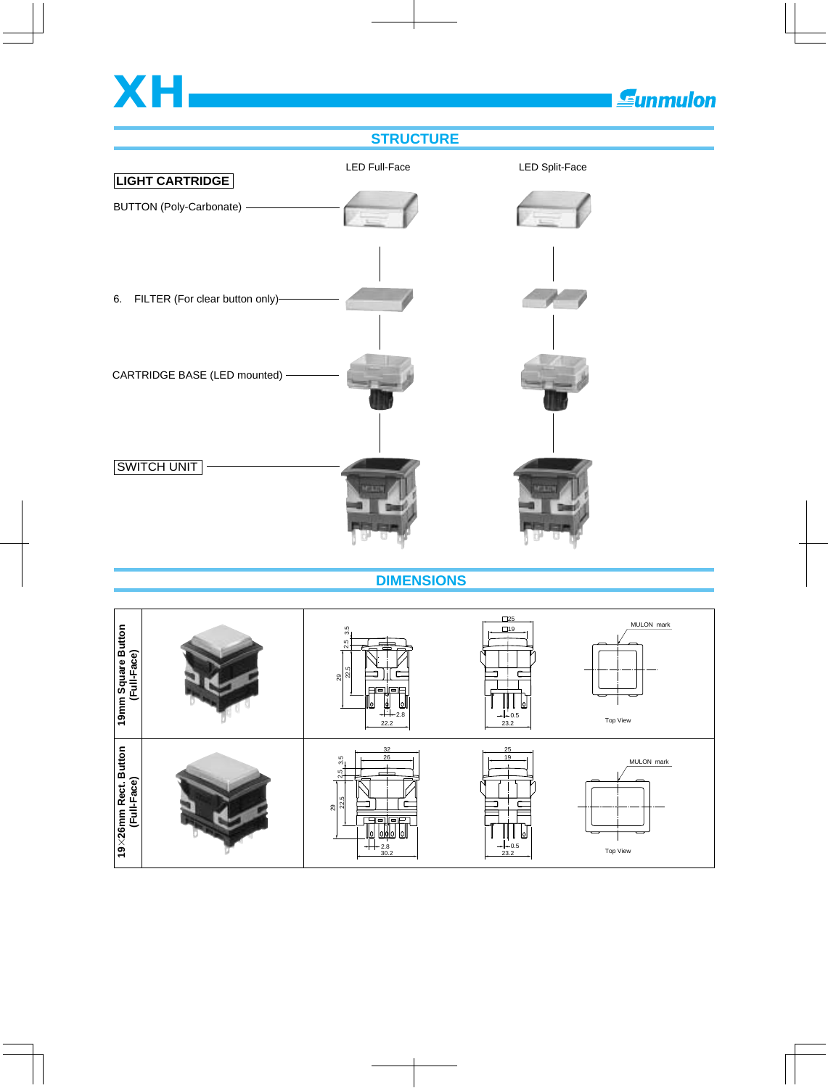

 **DIMENSIONS**

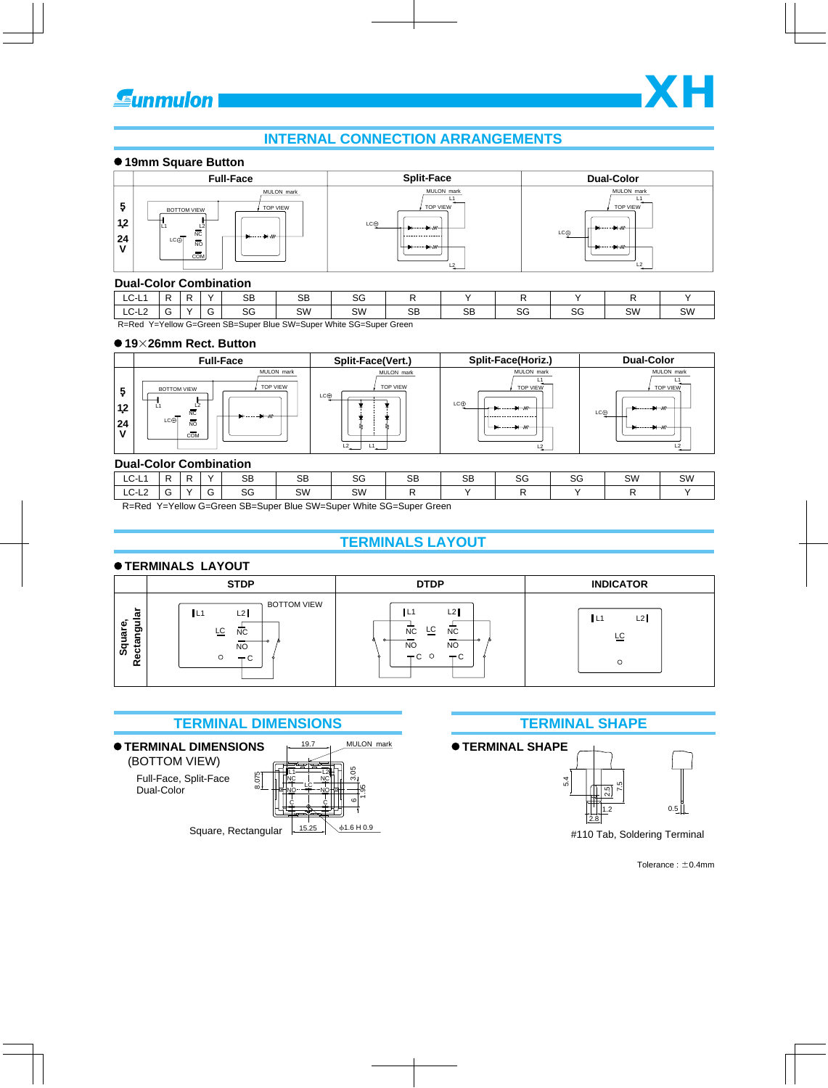# **INTERNAL CONNECTION ARRANGEMENTS**

#### **19mm Square Button**



#### **Dual-Color Combination**

LC-L1 LC-L<sub>2</sub>  $\overline{R}$  $\overline{G}$  $\overline{R}$  $\overline{Y}$  $Y$  SB SG  $\overline{\text{SB}}$ SW  $\overline{R}$ SW | SB | SB  $\overline{\mathsf{y}}$  $\overline{\text{sg}}$ SG  $\overline{R}$ SG  $\overline{\mathsf{v}}$ SW  $\overline{R}$  $\overline{G}$ 

R=Red Y=Yellow G=Green SB=Super Blue SW=Super White SG=Super Green

#### **19**-**26mm Rect. Button**

|                          | <b>Full-Face</b>                                                                                        | Split-Face(Vert.)                         | Split-Face(Horiz.)                                                           | <b>Dual-Color</b>                                                               |
|--------------------------|---------------------------------------------------------------------------------------------------------|-------------------------------------------|------------------------------------------------------------------------------|---------------------------------------------------------------------------------|
| 12<br>24<br>$\mathbf{v}$ | MULON mark<br><b>TOP VIEW</b><br><b>BOTTOM VIEW</b><br>L2<br>. .<br>NC<br>LC⊕<br>NO<br>$C\overline{OM}$ | MULON mark<br>TOP VIEW<br>LC⊕<br>L2<br>L1 | MULON mark<br><b>TOP VIEW</b><br>LC⊕<br>------------------<br>L <sub>2</sub> | MULON mark<br><b>TOP VIEW</b><br>$-11 - 11$<br>LC⊕<br>$+$ $-$<br>L <sub>2</sub> |

#### **Dual-Color Combination**

| _ _ _ _ _ _ _ _ _ _ _ _ _ _ _ _ _ _ _ _ |   |               |           |                      |                   |        |           |              |              |    |    |
|-----------------------------------------|---|---------------|-----------|----------------------|-------------------|--------|-----------|--------------|--------------|----|----|
| ◡<br>-                                  | D | $\sqrt{}$     | <b>SB</b> | C <sub>D</sub><br>56 | $\sim$<br>ت       | SB     | <b>SB</b> | $\sim$<br>ت∪ | $\sim$<br>99 | SW | SW |
| $\overline{\phantom{0}}$<br>◡<br>--     |   | $\sim$<br>G   | SG        | SW                   | SW                |        |           |              |              |    |    |
| - - - - - - - -                         |   | $\sim$ $\sim$ | $- - -$   | $\sim$<br>$-$        | $\cdots$ $\cdots$ | $\sim$ |           |              |              |    |    |

R=Red Y=Yellow G=Green SB=Super Blue SW=Super White SG=Super Green

# **TERMINALS LAYOUT**

#### **TERMINALS LAYOUT**

|                                | <b>STDP</b>                                                                       | <b>DTDP</b>                                                                                | <b>INDICATOR</b> |  |  |  |  |  |
|--------------------------------|-----------------------------------------------------------------------------------|--------------------------------------------------------------------------------------------|------------------|--|--|--|--|--|
| ►<br>ectangula<br>Square,<br>≃ | <b>BOTTOM VIEW</b><br>L2<br>IL1<br>뜨<br><b>NC</b><br><b>NO</b><br>$-\alpha$<br>ັບ | L2<br>L1<br>LC.<br>NC<br><b>NC</b><br><b>NO</b><br>N <sub>O</sub><br>∩<br>$-C$<br>$-\circ$ | L2<br>ΙĽ<br>FC   |  |  |  |  |  |

## **TERMINAL DIMENSIONS TERMINAL SHAPE**



**TERMINAL SHAPE**



#110 Tab, Soldering Terminal

Tolerance :  $\pm$ 0.4mm



SW  $\overline{\mathsf{y}}$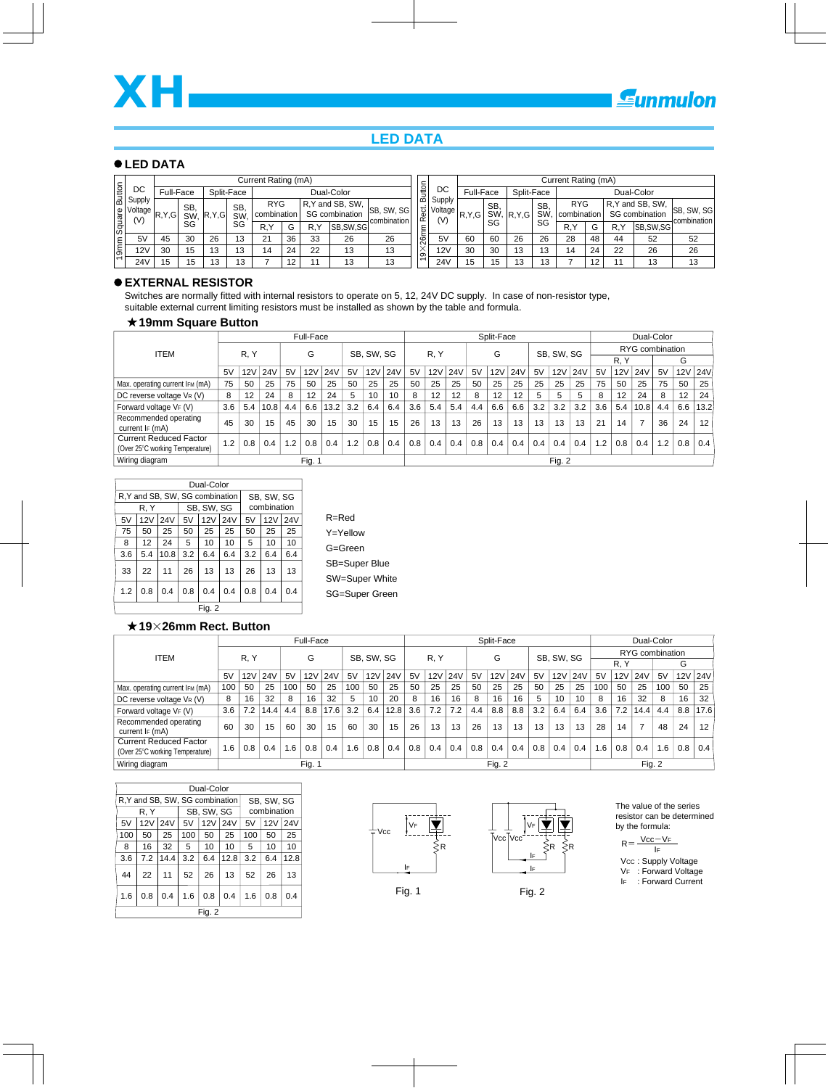# **LED DATA**

#### **LED DATA**

|                      |                                        |           |           |         |                 | Current Rating (mA)       |            |    |                                    |                                  |                      |                                                                                   |           |     |            |                 | Current Rating (mA)       |    |     |                                    |                            |
|----------------------|----------------------------------------|-----------|-----------|---------|-----------------|---------------------------|------------|----|------------------------------------|----------------------------------|----------------------|-----------------------------------------------------------------------------------|-----------|-----|------------|-----------------|---------------------------|----|-----|------------------------------------|----------------------------|
| Button               | DC                                     | Full-Face |           |         | Split-Face      |                           | Dual-Color |    |                                    |                                  | Button               | DC                                                                                | Full-Face |     | Split-Face |                 |                           |    |     | Dual-Color                         |                            |
|                      | Supply<br>Noltage R, Y, G  Swi-<br>(V) |           | <b>SB</b> | R, Y, G | <b>SB</b><br>SW | <b>RYG</b><br>combination |            |    | R, Y and SB, SW,<br>SG combination | <b>SB, SW, SG</b><br>combination | Rect.                | Supply<br>$\left. \frac{1}{2} \right $ Voltage $\left  R, Y, G \right $ 3.<br>(V) |           | SB. | SW,  R.Y.G | <b>SB</b><br>SW | <b>RYG</b><br>combination |    |     | R, Y and SB, SW,<br>SG combination | ISB, SW, SG<br>combination |
| $\frac{1}{\sqrt{2}}$ |                                        |           | SG        |         | SG              | R.۲                       | G          | R۱ | SB.SW.SG                           |                                  | ξ                    |                                                                                   |           | SG  |            | SG              | R.Y                       | G  | R.Y | <b>SB.SW.SG</b>                    |                            |
|                      | 5V                                     | 45        | 30        | 26      | 13              | 21                        | 36         | 33 | 26                                 | 26                               | 26m                  | 5V                                                                                | 60        | 60  | 26         | 26              | 28                        | 48 | 44  | 52                                 | 52                         |
| $\sqrt{9mn}$         | <b>12V</b>                             | 30        | 15        | 13      | 13              | 14                        | 24         | 22 | 13                                 | 13                               | $\times$<br>$\infty$ | 12V                                                                               | 30        | 30  | 13         | 13              | 14                        | 24 | 22  | 26                                 | 26                         |
|                      | <b>24V</b>                             | 15        | 15        | 13      | 13              |                           | 12         |    | 13                                 | 13                               | $\overline{ }$       | 24V                                                                               | 15        | 15  | 13         | 13              |                           | 12 |     | 13                                 | 13                         |

#### **EXTERNAL RESISTOR**

Switches are normally fitted with internal resistors to operate on 5, 12, 24V DC supply. In case of non-resistor type, suitable external current limiting resistors must be installed as shown by the table and formula.

#### **19mm Square Button**

|                                                                  |     |                   |            |     | Full-Face |            |           |            |            |     |      |            |     | Split-Face |            |     | Dual-Color |            |     |     |                 |     |     |            |
|------------------------------------------------------------------|-----|-------------------|------------|-----|-----------|------------|-----------|------------|------------|-----|------|------------|-----|------------|------------|-----|------------|------------|-----|-----|-----------------|-----|-----|------------|
| <b>ITEM</b>                                                      |     | R, Y              |            |     | G         |            |           | SB, SW, SG |            |     | R, Y |            |     | G          |            |     | SB, SW, SG |            |     |     | RYG combination |     |     |            |
|                                                                  |     |                   |            |     |           |            |           |            |            |     |      |            |     |            |            |     |            |            |     | R.Y |                 |     | G   |            |
|                                                                  | 5V  | 12V               | <b>24V</b> | 5V  | 12V       | <b>24V</b> | 5V        | 12V        | <b>24V</b> | 5V  | 12V  | <b>24V</b> | 5V  | 12V        | <b>24V</b> | 5V  | 12V        | <b>24V</b> | 5V  | 12V | <b>24V</b>      | 5V  | 12V | <b>24V</b> |
| Max. operating current IFM (mA)                                  | 75  | 50                | 25         | 75  | 50        | 25         | 50        | 25         | 25         | 50  | 25   | 25         | 50  | 25         | 25         | 25  | 25         | 25         | 75  | 50  | 25              | 75  | 50  | 25         |
| DC reverse voltage VR (V)                                        | 8   | $12 \overline{ }$ | 24         | 8   | 12        | 24         | 5         | 10         | 10         | 8   | 12   |            | 8   | 12         | 12         | 5   | 5<br>5     |            |     | 12  | 24              | 8   | 12  | 24         |
| Forward voltage VF (V)                                           | 3.6 | 5.4               | 10.8       | 4.4 | 6.6       | 13.2       | 3.2       | 6.4        | 6.4        | 3.6 | 5.4  | 5.4        | 4.4 | 6.6        | 6.6        | 3.2 | 3.2        | 3.2        | 3.6 | 5.4 | 10.8            | 4.4 | 6.6 | 13.2       |
| Recommended operating<br>current IF (mA)                         | 45  | 30                | 15         | 45  | 30        | 15         | 30        | 15         | 15         | 26  | 13   | 13         | 26  | 13         | 13         | 13  | 13         | 13         | 21  | 14  |                 | 36  | 24  | 12         |
| <b>Current Reduced Factor</b><br>(Over 25°C working Temperature) | 1.2 | 0.8               | 0.4        | 1.2 | 0.8       | 0.4        | $\cdot$ 2 | 0.8        | 0.4        | 0.8 | 0.4  | 0.4        | 0.8 | 0.4        | 0.4        | 0.4 | 0.4        | 0.4        | 1.2 | 0.8 | 0.4             | 1.2 | 0.8 | 0.4        |
| Wiring diagram                                                   |     |                   |            |     | Fig. 1    |            |           |            |            |     |      |            |     |            |            |     | Fig. 2     |            |     |     |                 |     |     |            |

| Dual-Color                                                  |                                            |                                |     |            |     |     |             |     |  |  |  |  |  |
|-------------------------------------------------------------|--------------------------------------------|--------------------------------|-----|------------|-----|-----|-------------|-----|--|--|--|--|--|
|                                                             |                                            | R.Y and SB, SW, SG combination |     |            |     |     | SB, SW, SG  |     |  |  |  |  |  |
|                                                             | R. Y                                       |                                |     | SB, SW, SG |     |     | combination |     |  |  |  |  |  |
| 5V                                                          | 12V                                        | 24V                            | 5V  | 12V        | 24V | 5V  | 12V         | 24V |  |  |  |  |  |
| 75                                                          | 50                                         | 25                             | 50  | 25         | 25  | 50  | 25          | 25  |  |  |  |  |  |
| 8                                                           | 12<br>24<br>5<br>10<br>5<br>10<br>10<br>10 |                                |     |            |     |     |             |     |  |  |  |  |  |
| 3.6                                                         | 5.4                                        | 10.8                           | 3.2 | 6.4        | 6.4 | 3.2 | 6.4         | 6.4 |  |  |  |  |  |
| 33                                                          | 22                                         | 11                             | 26  | 13         | 13  | 26  | 13          | 13  |  |  |  |  |  |
| 1.2<br>0.4<br>0.8<br>0.4<br>0.8<br>0.4<br>0.8<br>0.4<br>0.4 |                                            |                                |     |            |     |     |             |     |  |  |  |  |  |
|                                                             | Fia. 2                                     |                                |     |            |     |     |             |     |  |  |  |  |  |

R=Red Y=Yellow G=Green SB=Super Blue SW=Super White SG=Super Green

#### **1926mm Rect. Button**

|                                                                  |     |      |      |     | Full-Face |            |              |            |            |        |            |            |     | Split-Face |            |                   |            |            | Dual-Color |     |                 |     |     |         |
|------------------------------------------------------------------|-----|------|------|-----|-----------|------------|--------------|------------|------------|--------|------------|------------|-----|------------|------------|-------------------|------------|------------|------------|-----|-----------------|-----|-----|---------|
| <b>ITEM</b>                                                      |     |      |      |     |           |            |              |            |            |        |            |            |     |            |            |                   | SB, SW, SG |            |            |     | RYG combination |     |     |         |
|                                                                  |     | R, Y |      |     | G         |            |              | SB, SW, SG |            |        | R, Y       |            |     | G          |            |                   |            |            |            | R.Y | G               |     |     |         |
|                                                                  | 5V  | 12V  | 24V  | 5V  | 12V       | <b>24V</b> | 5V           | 12V        | <b>24V</b> | 5V     | <b>12V</b> | <b>24V</b> | 5V  | 12V        | <b>24V</b> | 5V                | 12V        | <b>24V</b> | 5V         | 12V | 24 <sub>V</sub> | 5V  |     | 12V 24V |
| Max. operating current IFM (mA)                                  | 100 | 50   | 25   | 100 | 50        | 25         | 100          | 50         | 25         | 50     | 25         | 25         | 50  | 25         | 25         | 50                | 25<br>25   |            |            | 50  | 25              | 100 | 50  | 25      |
| DC reverse voltage VR (V)                                        | 8   | 16   | 32   | 8   | 16        | 32         | 5            | 10         | 20         | 8      | 16         | 16         | 8   | 16         | 16         | 5                 | 10<br>10   |            |            | 16  | 32              | 8   | 16  | 32      |
| Forward voltage VF (V)                                           | 3.6 | 7.2  | 14.4 | 4.4 | 8.8       | 17.6       | 3.2          | 6.4        | 12.8       | 3.6    | 7.2        | 7.2        | 4.4 | 8.8        | 8.8        | 3.2               | 6.4<br>6.4 |            |            | 7.2 | 14.4            | 4.4 | 8.8 | 17.6    |
| Recommended operating<br>current IF (mA)                         | 60  | 30   | 15   | 60  | 30        | 15         | 60           | 30         | 15         | 26     | 13         | 13         | 26  | 13         | 13         | 13                | 13         | 13         | 28         | 14  |                 | 48  | 24  | 12      |
| <b>Current Reduced Factor</b><br>(Over 25°C working Temperature) | 1.6 | 0.8  | 0.4  | 1.6 | 0.8       | 0.4        | $.6^{\circ}$ | 0.8        | 0.4        | 0.8    | 0.4        | 0.4        | 0.8 | 0.4        | 0.4        | 0.8<br>0.4<br>0.4 |            |            | 1.6        | 0.8 | 0.4             | 1.6 | 0.8 | 0.4     |
| Wiring diagram                                                   |     |      |      |     | Fig. 1    |            |              |            |            | Fig. 2 |            |            |     |            |            | Fig. 2            |            |            |            |     |                 |     |     |         |

|     | Dual-Color                                           |                                |     |            |      |             |            |            |  |  |  |  |  |
|-----|------------------------------------------------------|--------------------------------|-----|------------|------|-------------|------------|------------|--|--|--|--|--|
|     |                                                      | R.Y and SB, SW, SG combination |     |            |      |             | SB, SW, SG |            |  |  |  |  |  |
|     | R, Y                                                 |                                |     | SB. SW. SG |      | combination |            |            |  |  |  |  |  |
| 5V  | 12V                                                  | 24V                            | 5V  | 12V        | 24V  | 5V          | 12V        | <b>24V</b> |  |  |  |  |  |
| 100 | 50                                                   | 25                             | 100 | 50         | 25   | 100         | 50         | 25         |  |  |  |  |  |
| 8   | 32<br>5<br>10<br>10<br>10<br>16<br>5<br>10           |                                |     |            |      |             |            |            |  |  |  |  |  |
| 3.6 | 7.2                                                  | 14.4                           | 3.2 | 6.4        | 12.8 | 3.2         | 6.4        | 12.8       |  |  |  |  |  |
| 44  | 22                                                   | 11                             | 52  | 26         | 13   | 52          | 26         | 13         |  |  |  |  |  |
| 1.6 | 0.4<br>0.4<br>1.6<br>0.8<br>0.4<br>0.8<br>1.6<br>0.8 |                                |     |            |      |             |            |            |  |  |  |  |  |
|     |                                                      |                                |     | Fia. 2     |      |             |            |            |  |  |  |  |  |









The value of the series resistor can be determined by the formula:

$$
R = \frac{Vcc - V_F}{I_F}
$$

- Vcc: Supply Voltage
- VF : Forward Voltage
- IF : Forward Current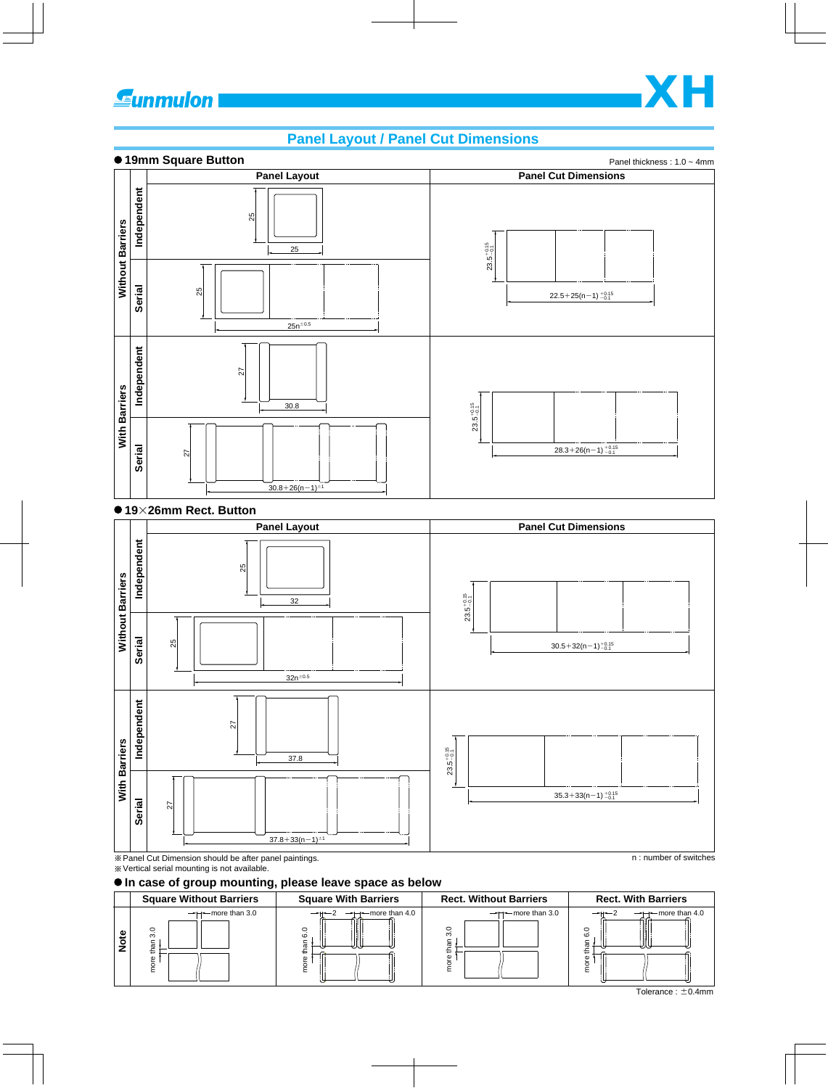# **Eunmulon**

# **Panel Layout / Panel Cut Dimensions**



#### **1926mm Rect. Button**



#### **In case of group mounting, please leave space as below**



 $\overline{\overline{\phantom{A}}\overline{\phantom{A}}\overline{\phantom{A}}\overline{\phantom{A}}\overline{\phantom{A}}\overline{\phantom{A}}\overline{\phantom{A}}\overline{\phantom{A}}\overline{\phantom{A}}\overline{\phantom{A}}\overline{\phantom{A}}\overline{\phantom{A}}\overline{\phantom{A}}\overline{\phantom{A}}\overline{\phantom{A}}\overline{\phantom{A}}\overline{\phantom{A}}\overline{\phantom{A}}\overline{\phantom{A}}\overline{\phantom{A}}\overline{\phantom{A}}\overline{\phantom{A}}\overline{\phantom{A}}\overline{\phantom{A}}\$ 

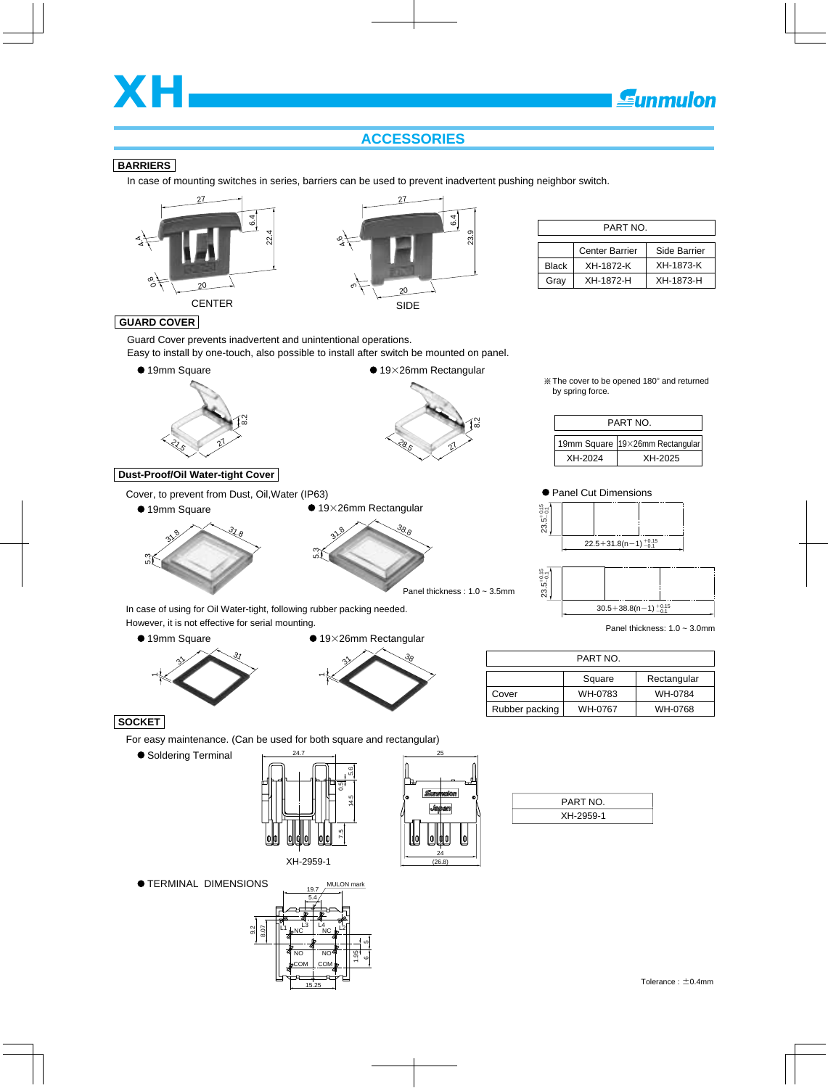

# **ACCESSORIES**

#### **BARRIERS**

In case of mounting switches in series, barriers can be used to prevent inadvertent pushing neighbor switch.





|              | PART NO.              |              |
|--------------|-----------------------|--------------|
|              | <b>Center Barrier</b> | Side Barrier |
| <b>Black</b> | XH-1872-K             | XH-1873-K    |
| Gray         | XH-1872-H             | XH-1873-H    |

#### **GUARD COVER**

Guard Cover prevents inadvertent and unintentional operations.

Easy to install by one-touch, also possible to install after switch be mounted on panel.

5.3

 $3^{8}$ 

 $\bullet$  19×26mm Rectangular



#### **Dust-Proof/Oil Water-tight Cover**

Cover, to prevent from Dust, Oil,Water (IP63)





38.8

Panel thickness : 1.0 ~ 3.5mm

The cover to be opened 180° and returned by spring force.

| PART NO. |                                   |  |  |  |  |  |  |  |  |  |  |
|----------|-----------------------------------|--|--|--|--|--|--|--|--|--|--|
|          | 19mm Square   19×26mm Rectangular |  |  |  |  |  |  |  |  |  |  |
| XH-2024  | XH-2025                           |  |  |  |  |  |  |  |  |  |  |







Panel thickness: 1.0 ~ 3.0mm

In case of using for Oil Water-tight, following rubber packing needed. However, it is not effective for serial mounting.

● 19mm Square





| PART NO.       |         |             |  |  |  |  |
|----------------|---------|-------------|--|--|--|--|
|                | Square  | Rectangular |  |  |  |  |
| Cover          | WH-0783 | WH-0784     |  |  |  |  |
| Rubber packing | WH-0767 | WH-0768     |  |  |  |  |

#### **SOCKET**

For easy maintenance. (Can be used for both square and rectangular)

● Soldering Terminal





PART NO. XH-2959-1

 $\bullet$  **TERMINAL DIMENSIONS** 

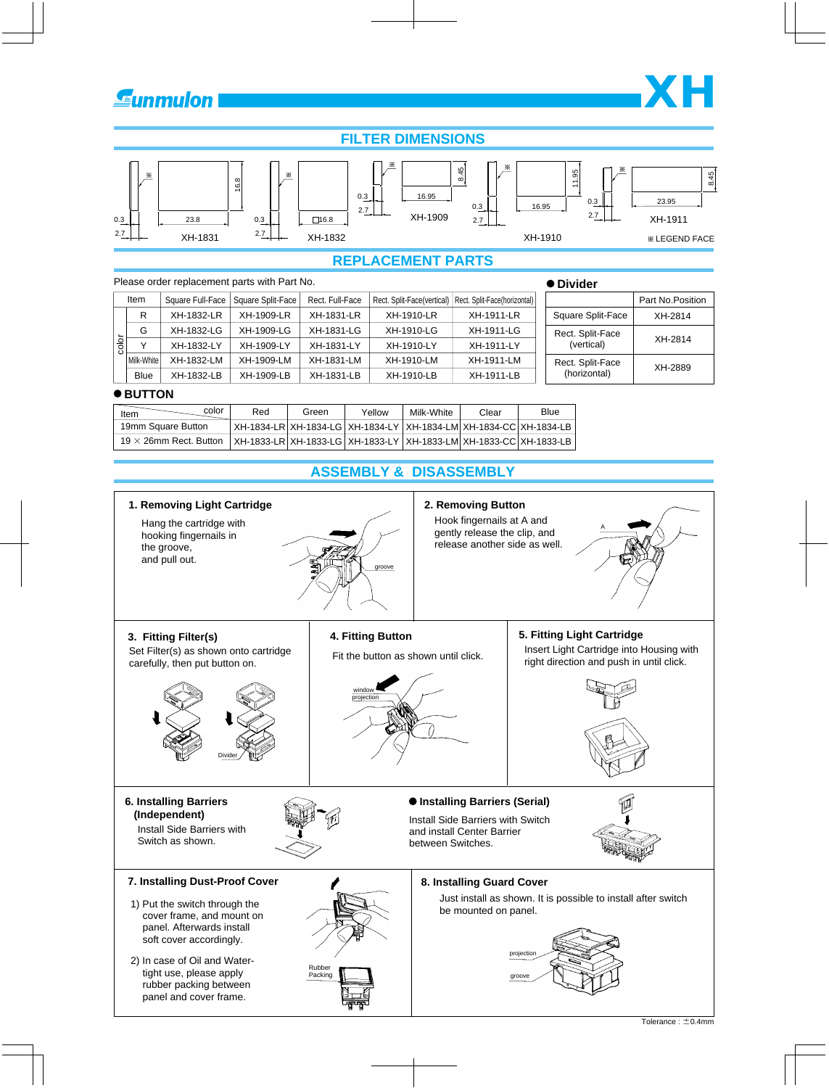

# **FILTER DIMENSIONS**



# **REPLACEMENT PARTS**

|              |                  | ● Divider         |                 |                                              |            |                                                           |                   |
|--------------|------------------|-------------------|-----------------|----------------------------------------------|------------|-----------------------------------------------------------|-------------------|
|              | Square Full-Face | Square Split-Face | Rect. Full-Face |                                              |            |                                                           | Part No. Position |
| R            | XH-1832-LR       | XH-1909-LR        | XH-1831-LR      | XH-1910-LR                                   | XH-1911-LR | Square Split-Face                                         | XH-2814           |
| G            | XH-1832-LG       | XH-1909-LG        | XH-1831-LG      | XH-1910-LG                                   | XH-1911-LG | Rect. Split-Face<br>(vertical)                            | XH-2814           |
| $\checkmark$ | XH-1832-LY       | XH-1909-LY        | XH-1831-LY      | XH-1910-LY                                   | XH-1911-LY |                                                           |                   |
|              | XH-1832-LM       | XH-1909-LM        | XH-1831-LM      | XH-1910-LM                                   | XH-1911-LM | Rect. Split-Face                                          | XH-2889           |
| <b>Blue</b>  | XH-1832-LB       | XH-1909-LB        | XH-1831-LB      | XH-1910-LB                                   | XH-1911-LB | (horizontal)                                              |                   |
|              | Item             | Milk-White        |                 | Please order replacement parts with Part No. |            | Rect. Split-Face(vertical)   Rect. Split-Face(horizontal) |                   |

#### $\bullet$  BUTTON

| color<br>Item                 | Red | Green | Yellow | Milk-White | Clear                                                             | Blue |
|-------------------------------|-----|-------|--------|------------|-------------------------------------------------------------------|------|
| 19mm Square Button            |     |       |        |            | XH-1834-LR XH-1834-LG XH-1834-LY XH-1834-LM XH-1834-CC XH-1834-LB |      |
| 19 $\times$ 26mm Rect. Button |     |       |        |            | XH-1833-LR XH-1833-LG XH-1833-LY XH-1833-LM XH-1833-CC XH-1833-LB |      |

# **ASSEMBLY & DISASSEMBLY**



**XH**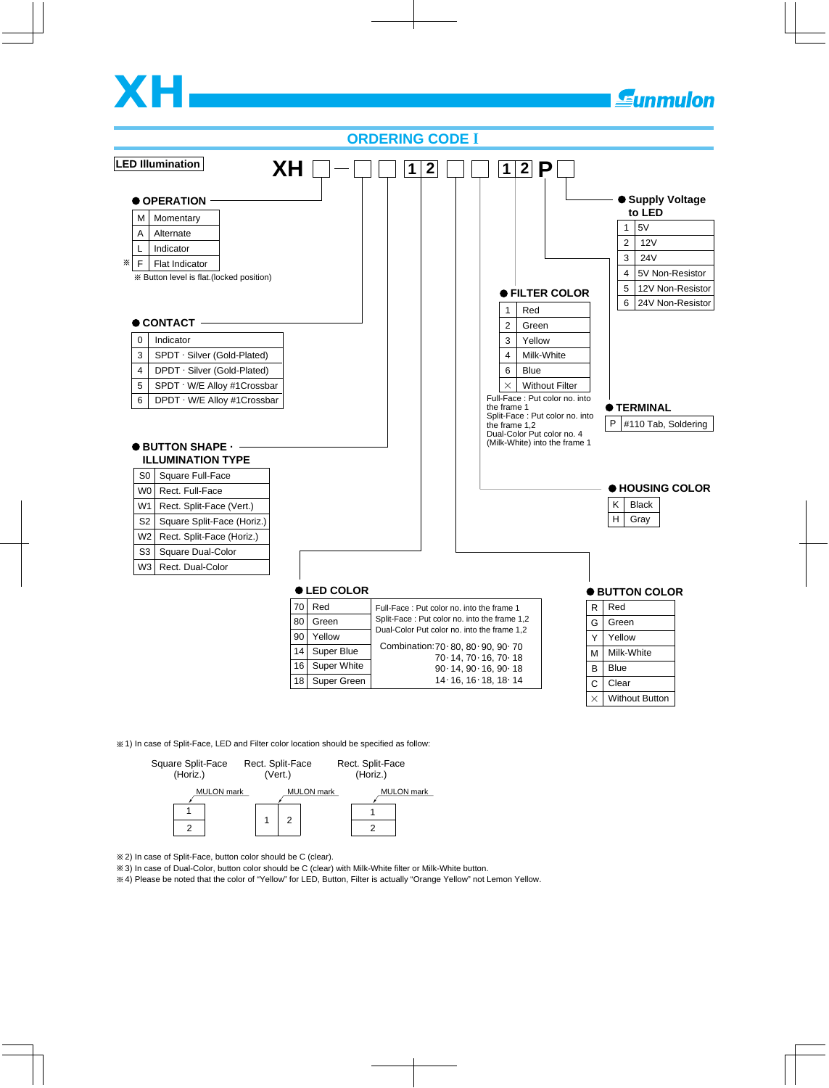# **XH**



1) In case of Split-Face, LED and Filter color location should be specified as follow:



2) In case of Split-Face, button color should be C (clear).

3) In case of Dual-Color, button color should be C (clear) with Milk-White filter or Milk-White button.

4) Please be noted that the color of "Yellow" for LED, Button, Filter is actually "Orange Yellow" not Lemon Yellow.